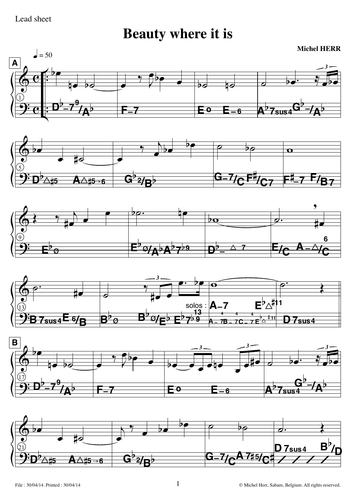

**Beauty where it is** 

**Michel HERR**  $\vert$  = 50  $\mathbf{A}$ b  $\frac{1}{26}$ ĪΖ  $\mathsf{A}^{\flat}7_{\mathsf{sus}4}\mathsf{G}$ **E**o h FΞ  $E_{\rm -6}$  $\overline{\mathcal{P}}\boldsymbol{\varnothing}$  $\overline{\mathbf{o}}$  $\overline{p}$ <del>G\_7</del>  $\mathsf{A}\mathcal{A}$ t5 $\rightarrow$ 6 B  $\bullet$ מח  $\overline{\mathbf{v}}$ ł. 6  $^{-\!p}\varrho$ D κ







 $\mathbf{1}$